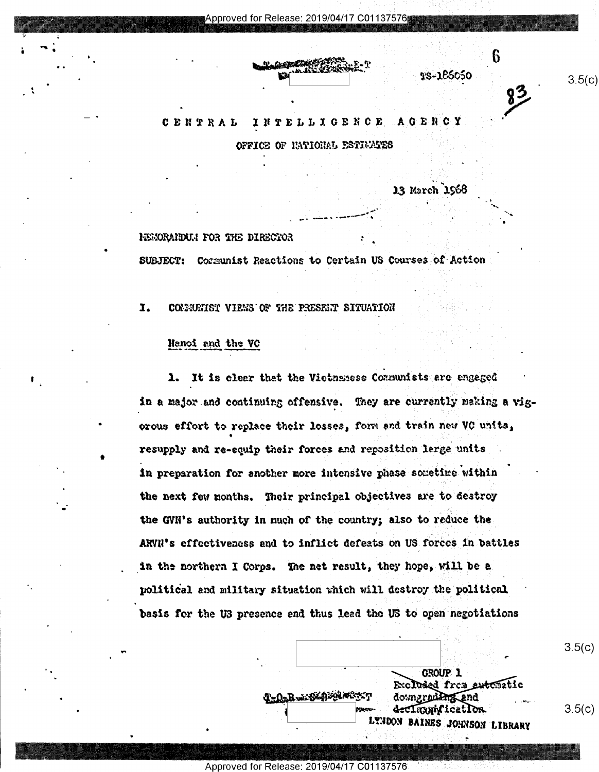**C** . The contract of the contract of the contract of the contract of the contract of the contract of the contract of the contract of the contract of the contract of the contract of the contract of the contract of the cont ' \\$MwT5?%&%¢ M \* <sup>I</sup>

#### CENTRAL INTELLIGENCE AGENCY

FFICE OF IMTIONAL ESTIVATES

13 March 1968

' 'J. . \_. ¢ \ ,,. -..=.-~ -»----" \ . '

 $\ddot{\phantom{0}}$ 

~

 $$s-1&66&50$ 

 $\frac{3}{2}$   $\frac{3.5(0)}{2}$ 

0

### HEMORAIDUM FOR THE DIRECTOR

'

 $\cdot$   $\cdot$   $\cdot$ 

I

U

V'

'

.

0

;

SUBJECT: Cormunist Reactions to Certain US Courses of Action

I. CONNUNIST VIENS OF THE PRESENT SITUATION

# Hanoi and the VC

 $\bullet$ 

1. It is clear that the Vietnamese Communists are engaged in a major and continuing offensive. They are currently making a vigorous effort to replace their losses, form and train new VC units, resupply and re-equip their forces and reposition large units in preparation for another more intensive phase sometime within ~ the next few months. Their principal objectives are to destroy the GVM's authority in much of the country; also to reduce the ARVII's effectiveness and to inflict defeats on US forces in battles in the northern I Corps. The net result, they hope, will be a. political and military situation which will destroy the political basis for the U3 presence and thus lead the U3 to open negotiations

 $\mathcal{L}$  , is a set of  $\mathcal{L}$  , if the set of  $\mathcal{L}$ , GROUP 1 . T-O-R-1924 Server downground and Excluded from entematic<br>downgrading and  $\mathbf{R}$  aggregation. The setting  $\mathbf{R}$  and  $\mathbf{R}$  aggregation. The setting  $\mathbf{S}$  is a setting  $\mathbf{S}$  of  $\mathbf{S}$  or  $\mathbf{S}$  or  $\mathbf{S}$  or  $\mathbf{S}$  or  $\mathbf{S}$  or  $\mathbf{S}$  or  $\mathbf{S}$  or  $\mathbf{S}$  or  $\mathbf{S}$  o **LETTION BAINES JOHNSON LIBRARY** 

. '

' I \ .

 $3.5(c)$ 

Approved for Release: 2019/04/17 C01137576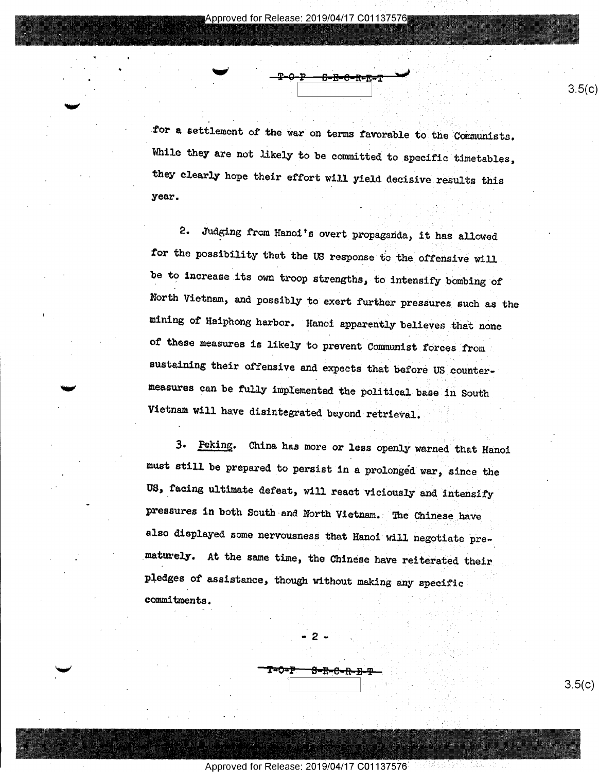denotes the contract of the contract of the contract of the contract of the contract of the contract of the contract of the contract of the contract of the contract of the contract of the contract of the contract of the co

for a settlement of the war on terms favorable to the Communists. While they are not likely to be committed to specific timetables, they clearly hope their effort will yield decisive results this  $year.$ 

 $\frac{P}{P}$  -  $\frac{P}{P}$  -  $\frac{B-E-C-R-E-T}{P}$  3.5(c)

\_ .

 $\mathbb{R}^N \times \mathbb{R}^N$ 

2. Judging from Hanoi's overt propaganda, it has allowed for the possibility that the US response to the offensive will be to increase its own troop strengths, to intensify bombing of North Vietnam, and possibly to exert further pressures such as the mining of Haiphong harbor. Hanoi apparently believes that none of these measures is likely to prevent Communist forces from, sustaining their offensive and expects that before US countermeasures osn be fully implemented the political base in South Vietnam will have disintegrated beyond retrieval.

3. Peking. China. has more or less openly warned that Hanoi must still be prepared to persist in a prolonged war, since the US, facing ultimate defeat, will react viciously and intensify pressures in both South and North Vietnam. The Chinese have also displayed some nervousness that Hanoi will negotiate prematurely. At the same time, the Chinese have reiterated their pledges of assistance, though without making any specific commitments .

Approved for Release: 2019/04/17 C01137576 <sup>l</sup>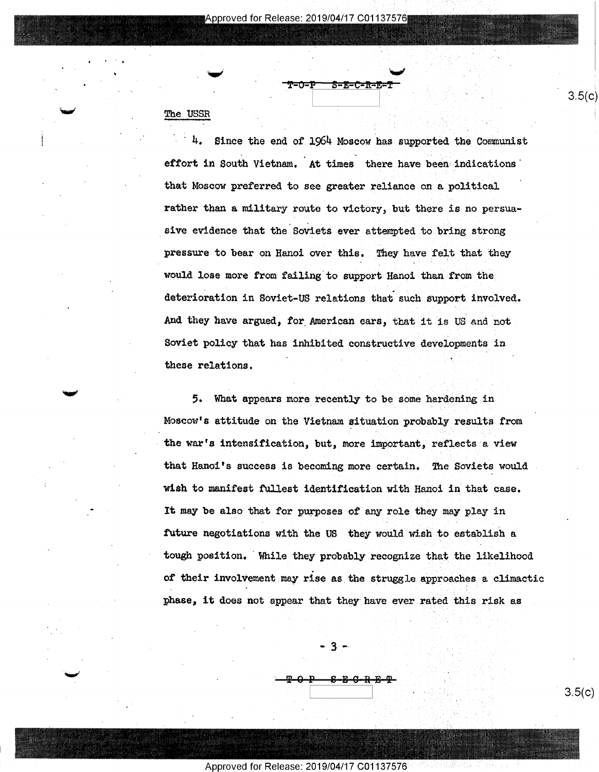Approved for Release: 2019/04/17 C01137576

 $T=0-P$   $S=E-C-R-E-T$ 

.5. ..§,1;§"

l i

# The USSR

mu'

4. Since the end of 1964 Moscow has supported the Communist effort in South Vietnam. At times there have been indications' that Moscow preferred to see greater reliance on e political rather than a military route to victory, but there is no persuasive evidence that the Soviets ever attempted to bring strong pressure to bear on Hanoi over this. They have felt that they would lose more from failing to support Hanoi than from the deterioration in Soviet-US relations that such support involved. And they have argued, for American ears, that it is US and not Soviet policy that has inhibited constructive developments in these relations. '

5. What appears more recently to be some hardening in Moscow's attitude on the Vietnam situation probably results from the war's intensification, but, more important, reflects e view that Hanoi's success is becoming more certain. The Soviets would wish to manifest fullest identification with Hanoi in that case. It may be also that for purposes of any role they may play in future negotiations with the US they would wish to establish a tough position. 'While they probably recognize that the likelihood of their involvement may rise as the struggle approaches a climactic phase, it does not appear that they have ever rated this risk as

-3...

 $\frac{\textbf{P} \cdot \textbf{O} \cdot \textbf{P} \cdot \textbf{S} \cdot \textbf{E} \cdot \textbf{G} \cdot \textbf{R} \cdot \textbf{E} \cdot \textbf{P}}{3.5(c)}$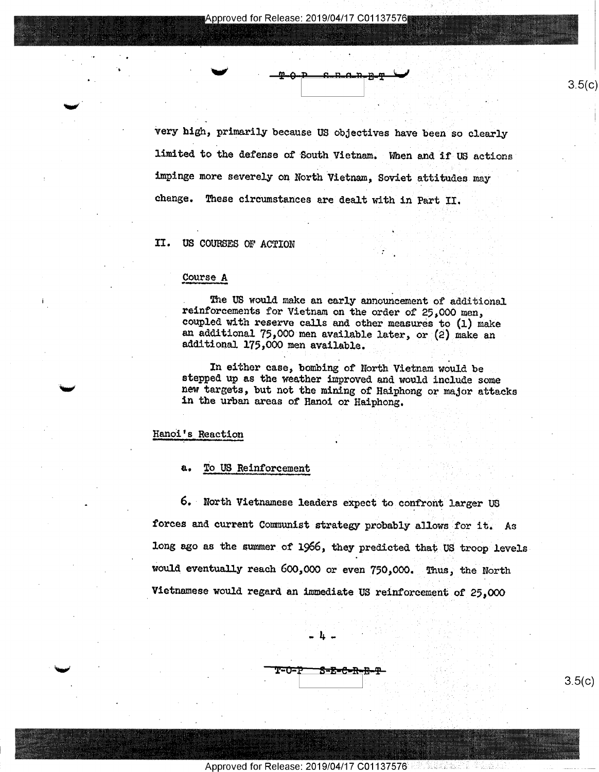VA H

 $3.5(c)$ 

'very high, primarily because US objectives have been so clearly limited. to the defense of South Vietnam. When and if US actions impinge more severely on North Vietnam, Soviet attitudes may change. These circumstances are dealt with in Part II.

# II. US COURSES OF ACTION

#### Course A

The US would make an early announcement of additional reinforcements for Vietnam on the order of 25,000 men, coupled with reserve calls and other measures to (1) make an additional 75,000 men available later, or (2) make an additional 175,000 men available.

In either case, bombing of North Vietnam would be stepped up as the weather improved and would include some new targets, but not the mining of Haiphong or major attacks in the urban areas of Hanoi or Haiphong.

# Hanoi's Reaction

#### a.. To US Reinforcement

\_ 6. - North Vietnamese leaders expect to confront larger us forces and current Communist strategy probably allows for it. As long ago as the summer of 1966, they predicted that US troop levels would eventually reach 600,000 or even 750,000. Thus, the North Vietnamese would regard an immediate US reinforcement of 25,000

-14.-

Approved for Release: 2019/04/17 C01137576

 $T=0-P$   $S=E=C-R-B-P$ <br>3.5(c)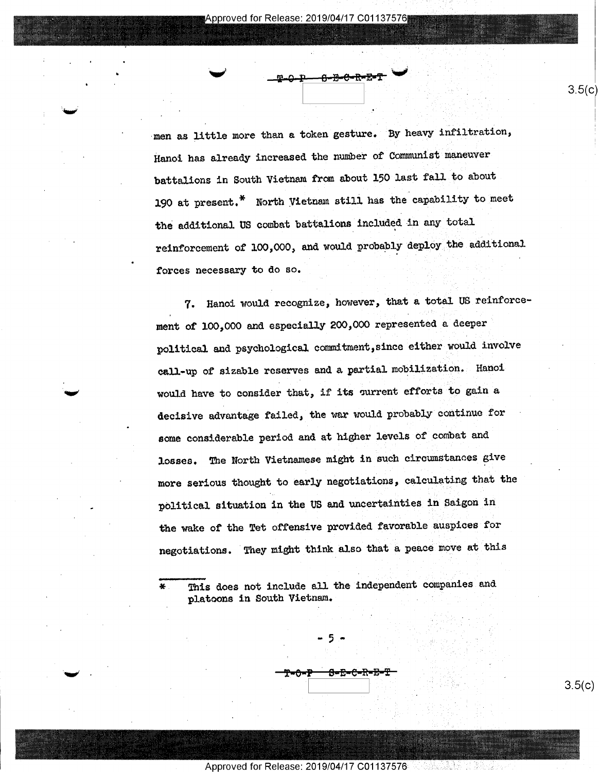~

. 4 u

 $\ddot{\phantom{0}}$ 

- V

 $\sim$   $\frac{p-0.1}{}$   $\frac{p-0.1}{}$   $\frac{p-0.1}{}$   $\frac{p-0.1}{}$   $\frac{p-0.1}{}$ 

-men as little more than e token gesture. By heavy infiltration, Hanoi has already increased the number of Communist maneuver battalions in South Vietnam from about 150 last fall to about 190 at present.\* North Vietnam still has the capability to meet the additional US combat battalions included in any total reinforcement of 100,000, and would probably deploy the additional forces necessary to do so.

7. Hanoi would recognize, however, that a total US reinforce~ ment of 100,000 and especially 200,000 represented a deeper political and psychological commitment,since either would involve call-up of sizable reserves and a partial mobilization. Hanoi would have to consider that, if its current efforts to gain a decisive advantage failed, the war would probably continue for some considerable period and at higher levels of combat and losses. The North Vietnamese might in such circumstances give more serious thought to early negotiations, calculating that the - political situation in the US and uncertainties in Saigon in the wake of the Tet offensive provided favorable auspices for negotiations. They might think also that a peace move at this

\* This does not include all the independent companies and platoons in South Vietnam. .

8<del>-2-6-11</del>

'0 f.'7'\_"' Y .I <sup>1</sup>

Approved for Release: 2019/04/17 C01137576

-5-

 $3.5(c)$ 

<u>၁.၁(C)</u>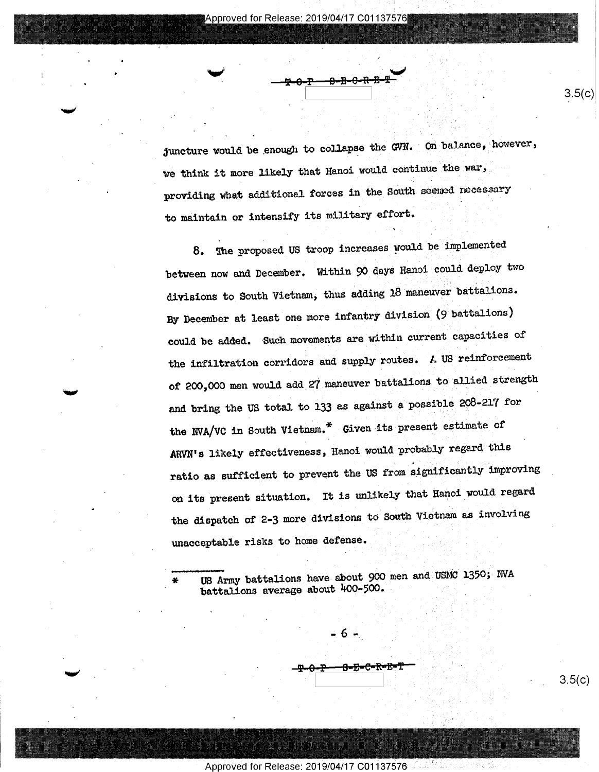$\overline{\phantom{a}}$ 

b

juncture would be enough to collapse the GVN. On balance, however, we think it more likely that Hanoi would continue the war, providing what additional forces in the South seemed necessary to maintain or intensify its military effort.

- \ .

 $-\frac{p}{2} - \frac{p}{2} - \frac{p}{2} - \frac{p}{2} - \frac{p}{2} - \frac{p}{2} - \frac{p}{2} - \frac{p}{2} - \frac{p}{2} - \frac{p}{2} - \frac{p}{2} - \frac{p}{2} - \frac{p}{2} - \frac{p}{2} - \frac{p}{2} - \frac{p}{2} - \frac{p}{2} - \frac{p}{2} - \frac{p}{2} - \frac{p}{2} - \frac{p}{2} - \frac{p}{2} - \frac{p}{2} - \frac{p}{2} - \frac{p}{2} - \frac{p}{2} - \frac{p}{2} - \frac{p$ 

8. The proposed US troop increases would be implemented between now and December. Within 90 days Hanoi could deploy two divisions to South Vietnam, thus adding 18 maneuver battalions. By December at least one more infantry division (9 battalions) could be added. 'Such movements are within current capacities of the infiltration corridors and supply routes. A US reinforcement of 200,000 men would add 27 maneuver battalions to allied strength and bring the US total to 133 as against a possible 208-217 for the NVA/VC in South Vietnam.\* Given its present estimate of ARVN's likely effectiveness, Hanoi would probably regard this ratio as sufficient to prevent the US from significantly improving on its present situation. It is unlikely that Hanoi would regard the dispatch of 2-3 more divisions to South Vietnam as involving unacceptable risks to home defense. 3

US Army battalions have about 900 men and USMC 1350; NVA battalions average about 400-500.

-T-0-P-8-B-C-R-B-T <del>P:::::d=E=E=E=E=T:::</del><br>
3.5(c)

Approved for Release: 2019/04/17 C01137576

 $-6 -$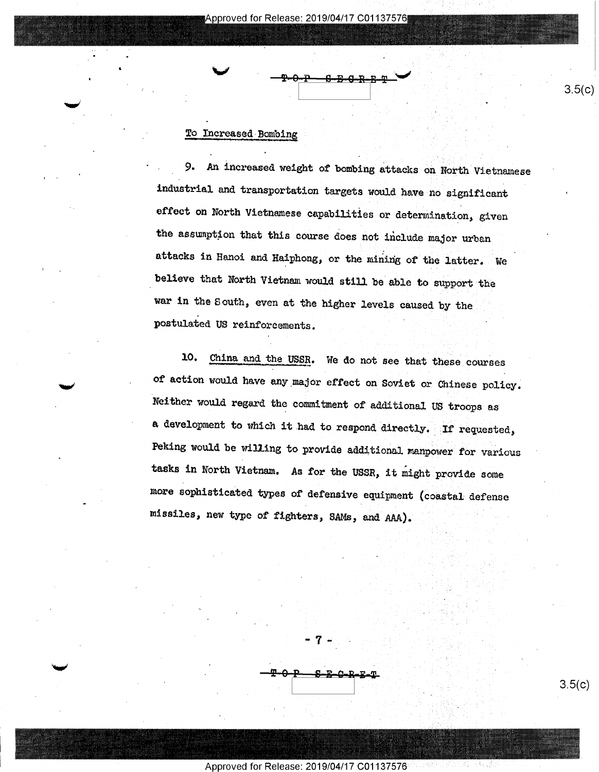## To Increased-Bombing

. 9. An increased weight of bombing attacks on North Vietnamese industrial and transportation targets would have no significant effect on North Vietnamese capabilities or determination, given the assuption that this course does not include major urban attacks in Hanoi and Haiphong, or the mining of the latter. We believe that North Vietnam would still be able to support the war in the South, even at the higher levels caused by the postulated US reinforcements.

10. China and the USSE. We do not see that these courses of action would have eny\_major effect on Soviet or Chinese policy. Neither would regard the commitment of additional US troops as a development to which it had to respond directly. If requested, Peking would be willing to provide additional manpower for various tasks in North Vietnam. As for the USSR, it might provide some more sophisticated types of defensive equipment (coastal defense missiles, new type of fighters, SAMs, and AAA).



Approved for Release: 2019/04/17 C01137576

- 7 -.

 $3.5(c)$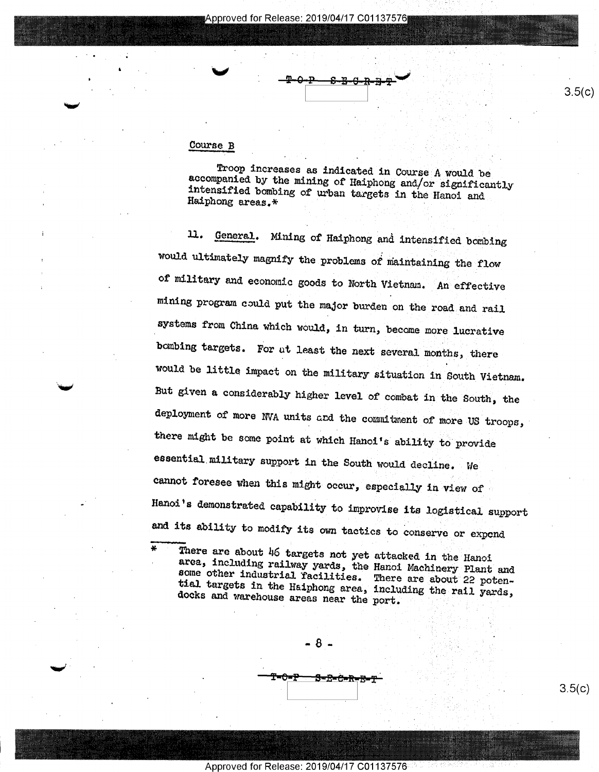## Course B

\*

Troop increases as indicated in Course A would be accompanied by the mining of Haiphong and/or significantly intensified bombing of urban targets in the Hanoi and Haiphong areas.\* '

ll. General. Mining of Haiphong and intensified bombing would ultimately magnify the problems of maintaining the flow of military and economic goods to North Vietnam. An effective mining program could put the major burden on the road and rail systems from China which would, in turn, become more lucrative bombing targets. For ut least the next several months, there would be little impact on the military situation in South Vietnam. But given a considerably higher level of combat in the South, the deployment of more NVA units and the commitment of more US troops, there might be some point at which Hanoi's ability to provide essential military support in the South would decline. We cannot foresee when this might occur, especially in view of Hanoi's demonstrated capability to improvise its logistical support and its ability to modify its own tactics to conserve or expend

There are about 46 targets not yet attacked in the Hanoi area, including railway yards, the Hanoi Machinery Plant and some including railway yards, the Hanoi Machinery Plant and other industrial Tacilities. There are about 22 potendocks and warehouse areas near the port. tial targets in the Haiphong area, including the rail yards,

 $- 8 -$ <del>Starba</del> A

 $3.5(c)$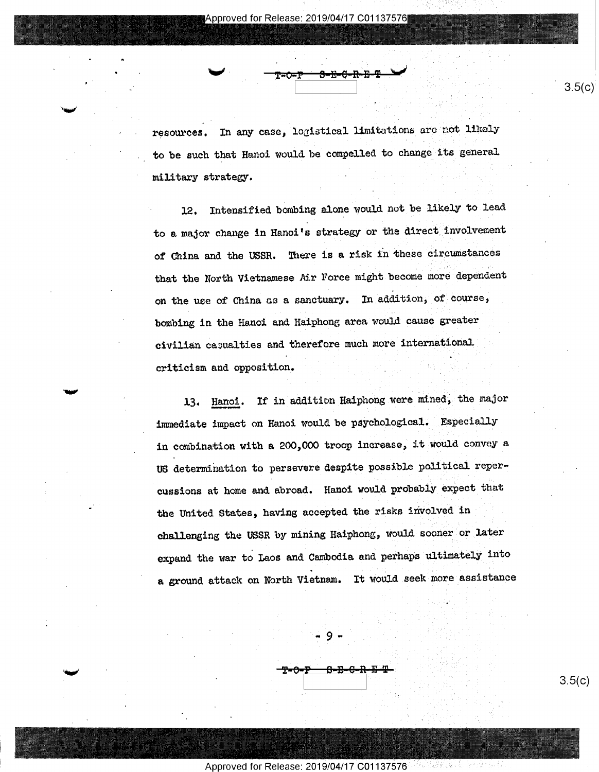" .

' Vietnament and the contract of the contract of the contract of the contract of the contract of the contract of

'WW

'T'

-lw

resources. In any case, logistical limitations are not likely to be such that Hanoi would be compelled to change its general military strategy.

12. Intensified bombing alone would not be likely to lead to e major change in Hanoi's strategy or the direct involvement of China and the USSR. There is a risk in these circumstances that the North Vietnamese Air Force might become more dependent on the use of China as a sanctuary. In addition, of course, bombing in the Hanoi and Haiphong area would cause greater civilian casualties and therefore much more international ' criticism and opposition. \_  $\mathcal{U}$  ,  $\mathcal{U}$  ,  $\mathcal{U}$ 

13. Hanoi. If in addition Haiphong were mined, the major immediate impact on Hanoi would be psychological. Especially in cobination with a 200,000 troop increase, it would convey a US determination to persevere despite possible political repercussions at home and abroad. Hanoi would probably expect that the United States, having accepted the risks involved in challenging the USSR by mining Haiphong, would sooner or later expand the war to Laos and Cambodia and perhaps ultimately into a ground attack on North Vietnam. It would seek more assistance

Approved for Release: 2019/04/17 C01137576

 $3.5(c)$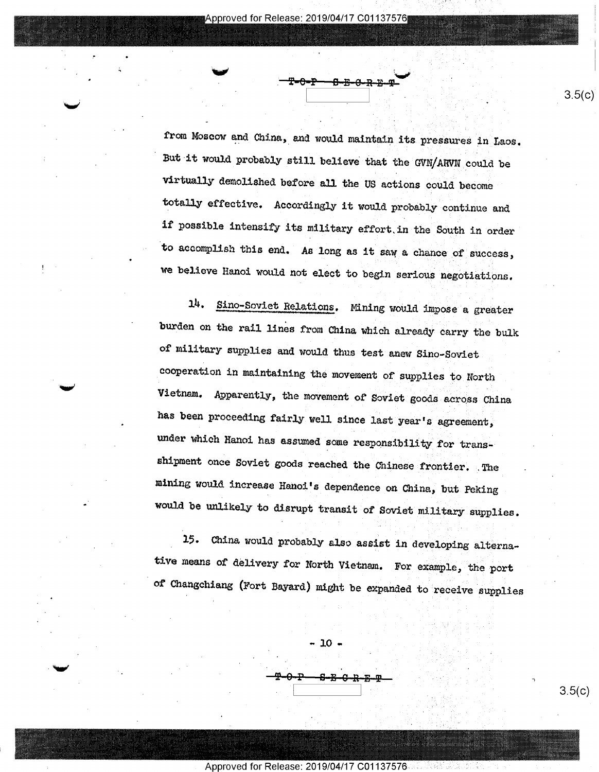from Moscow and China, and would maintain its pressures in Laos. But it would probably still believe that the GVN/ARVN could be virtually demolished before all the US actions could become totally effective. Accordingly it would probably continue and if possible intensify its military effort.in the South in order to accomplish this end. As long as it saw a chance of success, we believe Hanoi would not elect to begin serious negotiations.

14. Sino-Soviet Relations. Mining would impose a greater burden on the rail lines from China which already carry the bulk of military supplies and would thus test anew Sino—Soviet cooperation in maintaining the movement of supplies to North Vietnam. Apparently, the movement of Soviet goods across China has been proceeding fairly well since last year's agreement, under which Hanoi has assumed some responsibility for transshipment once Soviet goods reached the Chinese frontier. .The mining would increase Hanoi's dependence on China, but Peking would be unlikely to disrupt transit of Soviet military supplies.

15. China would probably also assist in developing alternative means of delivery for North Vietnam. For example, the port of Changchiang (Fort Bayard) might be expanded to receive supplies

-9-e—1=—s-s-e-R-E-@\_

 $-10$ .

Approved for Release: 2019/04/17 C01137576

 $3.5(c)$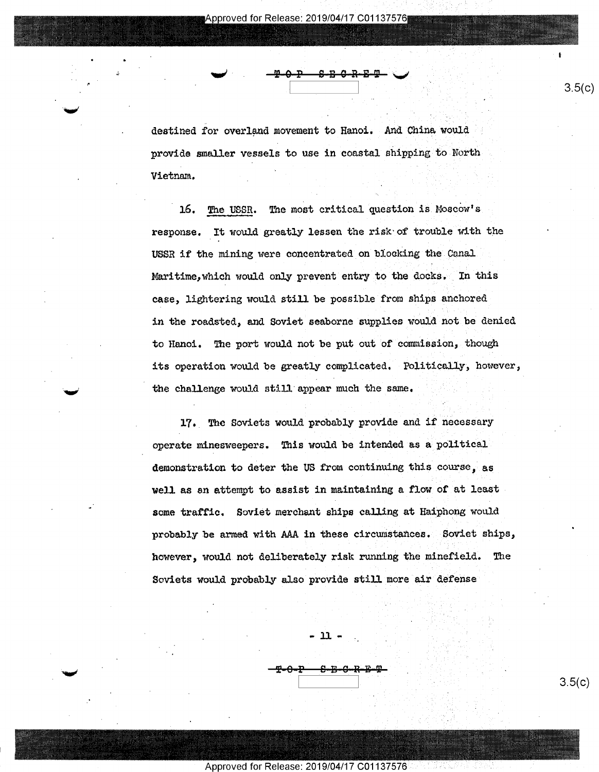I l

destined for overland movement to Hanoi. And China would provide smaller vessels to use in coastal shipping to North Vietnam. '

. The contract of the contract of the contract of the contract of  $3.5(c)$ 

<del>ኮሪ ቦ ቦ</del>

 $\sim$   $\sim$   $\sim$   $\sim$   $\sim$   $\sim$   $\sim$ 

16. The USSR. The most critical question is Moscow's response. It would greatly lessen the risk of trouble with the USSR if the mining were concentrated on blocking the Canal Maritime, which would only prevent entry to the docks. In this case, lightering would still be possible from ships anchored in the roadsted, and Soviet seaborne supplies would not be denied to Hanoi. The port would not be put out of commission, though its operation would be greatly complicated. Politically, however, the challenge would still appear much the same.

17. The Soviets would probably provide and if necessary operate minesweepers. This would be intended as a political demonstration to deter the US from continuing this course, as well as an attempt to assist in maintaining a flow of at least some traffic. Soviet merchant ships calling at Haiphong would probably be armed with AAA in these circumstances. Soviet ships, however, would not deliberately risk running the minefield. The Soviets would probably also provide still more air defense

 $\frac{10.2 \times 10^{10} \text{ N} \cdot \text{m}}{20.3 \times 10^{10} \text{ N} \cdot \text{m}^2}$  3.5(c)

Approved for Release: 2019/04/17 C01137576

-11- .

μ,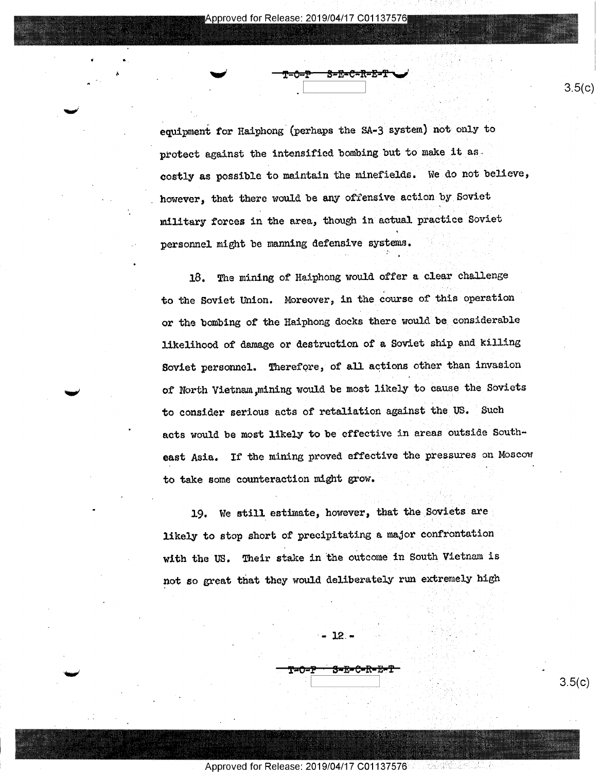.

 $\frac{1}{2}$  and  $\frac{1}{2}$   $\frac{1}{2}$   $\frac{1}{2}$   $\frac{1}{2}$   $\frac{1}{2}$   $\frac{1}{2}$   $\frac{1}{2}$   $\frac{1}{2}$   $\frac{1}{2}$   $\frac{1}{2}$   $\frac{1}{2}$   $\frac{1}{2}$   $\frac{1}{2}$   $\frac{1}{2}$   $\frac{1}{2}$   $\frac{1}{2}$   $\frac{1}{2}$   $\frac{1}{2}$   $\frac{1}{2}$   $\frac{1}{2}$   $\frac{1}{2$ 

' 5. .

%§%nk€§;;,1€.;iV,E2,Ai <sup>t</sup>

'

A 'mi

equipment for Haiphong (perhaps the SA-3 system) not only to protect against the intensified bombing but to make it as. costly as possible to maintain the minefields. We do not believe, however, that there would be any offensive action by Soviet military forces in the area, though in actual practice Soviet  $\ddot{\phantom{0}}$ personnel might be manning defensive systems.

. 4' A 2011 12:30 A 2012 12:30 A 2012 12:30 A 2012 12:30 A 2012 12:30 A 2012 12:30 A 2012 12:30 A 20

'

 $\mathbb{C}$  -  $\mathbb{C}_2$  and

18. The mining of Haiphong would offer a clear challenge to the Soviet Union. Moreover, in the course of this operation or the bombing of the Haiphong docks there would be considerable likelihood of damage or destruction of a Soviet ship and killing Soviet personnel. Therefore, of all actions other than invasion of North Vietnam mining would be most likely to cause the Soviets to consider serious acts of retaliation against the US. Such acts would be most likely to be effective in areas outside Southeast Asia. If the mining proved effective the pressures on Moscow to take some counteraction might grow.

19. we still estimate, however, that the Soviets are, likely to stop short of precipitating a major confrontation with the US. Their stake in the outcome in South Vietnam is not so great that they would deliberately run extremely high

"- 12.-

Approved for Release: 2019/04/17 C01137576

 $3.5(c)$